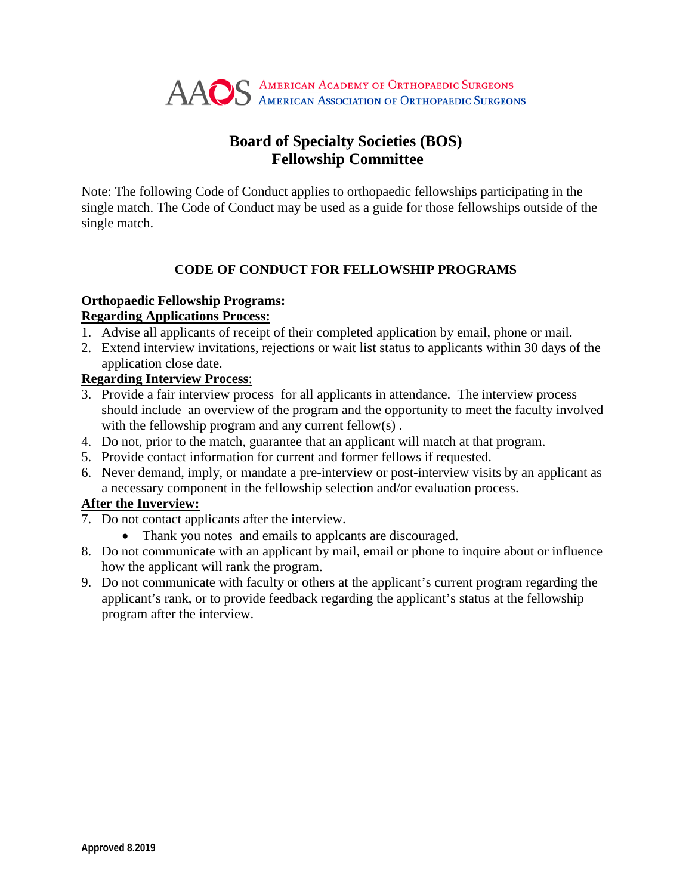

# **Board of Specialty Societies (BOS) Fellowship Committee**

Note: The following Code of Conduct applies to orthopaedic fellowships participating in the single match. The Code of Conduct may be used as a guide for those fellowships outside of the single match.

## **CODE OF CONDUCT FOR FELLOWSHIP PROGRAMS**

## **Orthopaedic Fellowship Programs:**

### **Regarding Applications Process:**

- 1. Advise all applicants of receipt of their completed application by email, phone or mail.
- 2. Extend interview invitations, rejections or wait list status to applicants within 30 days of the application close date.

### **Regarding Interview Process**:

- 3. Provide a fair interview process for all applicants in attendance. The interview process should include an overview of the program and the opportunity to meet the faculty involved with the fellowship program and any current fellow(s).
- 4. Do not, prior to the match, guarantee that an applicant will match at that program.
- 5. Provide contact information for current and former fellows if requested.
- 6. Never demand, imply, or mandate a pre-interview or post-interview visits by an applicant as a necessary component in the fellowship selection and/or evaluation process.

## **After the Inverview:**

- 7. Do not contact applicants after the interview.
	- Thank you notes and emails to appleants are discouraged.
- 8. Do not communicate with an applicant by mail, email or phone to inquire about or influence how the applicant will rank the program.
- 9. Do not communicate with faculty or others at the applicant's current program regarding the applicant's rank, or to provide feedback regarding the applicant's status at the fellowship program after the interview.